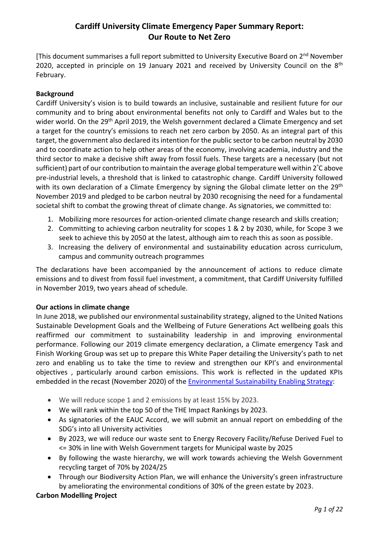# **Cardiff University Climate Emergency Paper Summary Report: Our Route to Net Zero**

[This document summarises a full report submitted to University Executive Board on 2nd November 2020, accepted in principle on 19 January 2021 and received by University Council on the  $8<sup>th</sup>$ February.

### **Background**

Cardiff University's vision is to build towards an inclusive, sustainable and resilient future for our community and to bring about environmental benefits not only to Cardiff and Wales but to the wider world. On the 29<sup>th</sup> April 2019, the Welsh government declared a Climate Emergency and set a target for the country's emissions to reach net zero carbon by 2050. As an integral part of this target, the government also declared its intention for the public sector to be carbon neutral by 2030 and to coordinate action to help other areas of the economy, involving academia, industry and the third sector to make a decisive shift away from fossil fuels. These targets are a necessary (but not sufficient) part of our contribution to maintain the average global temperature well within 2°C above pre-industrial levels, a threshold that is linked to catastrophic change. Cardiff University followed with its own declaration of a Climate Emergency by signing the Global climate letter on the 29<sup>th</sup> November 2019 and pledged to be carbon neutral by 2030 recognising the need for a fundamental societal shift to combat the growing threat of climate change. As signatories, we committed to:

- 1. Mobilizing more resources for action-oriented climate change research and skills creation;
- 2. Committing to achieving carbon neutrality for scopes 1 & 2 by 2030, while, for Scope 3 we seek to achieve this by 2050 at the latest, although aim to reach this as soon as possible.
- 3. Increasing the delivery of environmental and sustainability education across curriculum, campus and community outreach programmes

The declarations have been accompanied by the announcement of actions to reduce climate emissions and to divest from fossil fuel investment, a commitment, that Cardiff University fulfilled in November 2019, two years ahead of schedule.

### **Our actions in climate change**

In June 2018, we published our environmental sustainability strategy, aligned to the United Nations Sustainable Development Goals and the Wellbeing of Future Generations Act wellbeing goals this reaffirmed our commitment to sustainability leadership in and improving environmental performance. Following our 2019 climate emergency declaration, a Climate emergency Task and Finish Working Group was set up to prepare this White Paper detailing the University's path to net zero and enabling us to take the time to review and strengthen our KPI's and environmental objectives , particularly around carbon emissions. This work is reflected in the updated KPIs embedded in the recast (November 2020) of the [Environmental Sustainability Enabling Strategy:](https://www.cardiff.ac.uk/about/our-profile/who-we-are/sustainability)

- We will reduce scope 1 and 2 emissions by at least 15% by 2023.
- We will rank within the top 50 of the THE Impact Rankings by 2023.
- As signatories of the EAUC Accord, we will submit an annual report on embedding of the SDG's into all University activities
- By 2023, we will reduce our waste sent to Energy Recovery Facility/Refuse Derived Fuel to <= 30% in line with Welsh Government targets for Municipal waste by 2025
- By following the waste hierarchy, we will work towards achieving the Welsh Government recycling target of 70% by 2024/25
- Through our Biodiversity Action Plan, we will enhance the University's green infrastructure by ameliorating the environmental conditions of 30% of the green estate by 2023.

# **Carbon Modelling Project**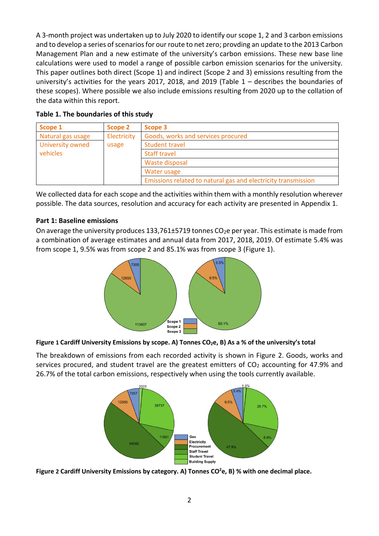A 3-month project was undertaken up to July 2020 to identify our scope 1, 2 and 3 carbon emissions and to develop a series of scenarios for our route to net zero; provding an update to the 2013 Carbon Management Plan and a new estimate of the university's carbon emissions. These new base line calculations were used to model a range of possible carbon emission scenarios for the university. This paper outlines both direct (Scope 1) and indirect (Scope 2 and 3) emissions resulting from the university's activities for the years 2017, 2018, and 2019 (Table 1 – describes the boundaries of these scopes). Where possible we also include emissions resulting from 2020 up to the collation of the data within this report.

| Scope 1           | Scope 2     | Scope 3                                                       |  |
|-------------------|-------------|---------------------------------------------------------------|--|
| Natural gas usage | Electricity | Goods, works and services procured                            |  |
| University owned  | usage       | Student travel                                                |  |
| vehicles          |             | <b>Staff travel</b>                                           |  |
|                   |             | Waste disposal                                                |  |
|                   |             | Water usage                                                   |  |
|                   |             | Emissions related to natural gas and electricity transmission |  |

|  |  |  | Table 1. The boundaries of this study |  |  |  |
|--|--|--|---------------------------------------|--|--|--|
|--|--|--|---------------------------------------|--|--|--|

We collected data for each scope and the activities within them with a monthly resolution wherever possible. The data sources, resolution and accuracy for each activity are presented in Appendix 1.

### **Part 1: Baseline emissions**

On average the university produces 133,761±5719 tonnes CO<sub>2</sub>e per year. This estimate is made from a combination of average estimates and annual data from 2017, 2018, 2019. Of estimate 5.4% was from scope 1, 9.5% was from scope 2 and 85.1% was from scope 3 (Figure 1).





The breakdown of emissions from each recorded activity is shown in Figure 2. Goods, works and services procured, and student travel are the greatest emitters of  $CO<sub>2</sub>$  accounting for 47.9% and 26.7% of the total carbon emissions, respectively when using the tools currently available.



**Figure 2 Cardiff University Emissions by category. A) Tonnes CO<sup>2</sup>e, B) % with one decimal place.**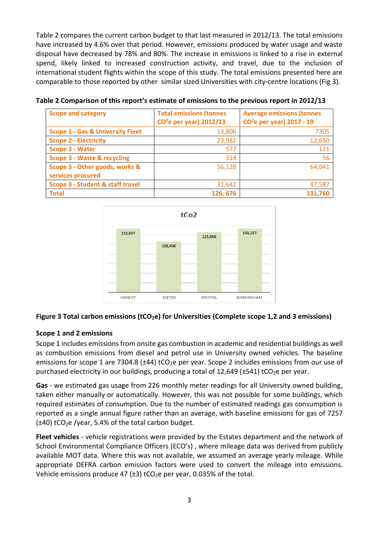Table 2 compares the current carbon budget to that last measured in 2012/13. The total emissions have increased by 4.6% over that period. However, emissions produced by water usage and waste disposal have decreased by 78% and 80%. The increase in emissions is linked to a rise in external spend, likely linked to increased construction activity, and travel, due to the inclusion of international student flights within the scope of this study. The total emissions presented here are comparable to those reported by other similar sized Universities with city-centre locations (Fig 3).

| <b>Scope and category</b>                           | <b>Total emissions (tonnes</b><br>$CO2e$ per year) 2012/13 | <b>Average emissions (tonnes</b><br>$CO2e$ per year) 2017 - 19 |
|-----------------------------------------------------|------------------------------------------------------------|----------------------------------------------------------------|
| <b>Scope 1 - Gas &amp; University Fleet</b>         | 13,806                                                     | 7305                                                           |
| <b>Scope 2 - Electricity</b>                        | 23,982                                                     | 12,650                                                         |
| Scope 3 - Water                                     | 577                                                        | 121                                                            |
| <b>Scope 3 - Waste &amp; recycling</b>              | 314                                                        | 56                                                             |
| Scope 3 - Other goods, works &<br>services procured | 56,128                                                     | 64,041                                                         |
| <b>Scope 3 - Student &amp; staff travel</b>         | 31,642                                                     | 47,587                                                         |
| <b>Total</b>                                        | 126, 676                                                   | 131,760                                                        |

**Table 2 Comparison of this report's estimate of emissions to the previous report in 2012/13**



# **Figure 3 Total carbon emissions (tCO2e) for Universities (Complete scope 1,2 and 3 emissions)**

# **Scope 1 and 2 emissions**

Scope 1 includes emissions from onsite gas combustion in academic and residential buildings as well as combustion emissions from diesel and petrol use in University owned vehicles. The baseline emissions for scope 1 are 7304.8 ( $\pm$ 44) tCO<sub>2</sub>e per year. Scope 2 includes emissions from our use of purchased electricity in our buildings, producing a total of 12,649 ( $\pm$ 541) tCO<sub>2</sub>e per year.

**Gas** - we estimated gas usage from 226 monthly meter readings for all University owned building, taken either manually or automatically. However, this was not possible for some buildings, which required estimates of consumption. Due to the number of estimated readings gas consumption is reported as a single annual figure rather than an average, with baseline emissions for gas of 7257  $(\pm 40)$  tCO<sub>2</sub>e /year, 5.4% of the total carbon budget.

**Fleet vehicles** - vehicle registrations were provided by the Estates department and the network of School Environmental Compliance Officers (ECO's) , where mileage data was derived from publicly available MOT data. Where this was not available, we assumed an average yearly mileage. While appropriate DEFRA carbon emission factors were used to convert the mileage into emissions. Vehicle emissions produce 47 ( $\pm$ 3) tCO<sub>2</sub>e per year, 0.035% of the total.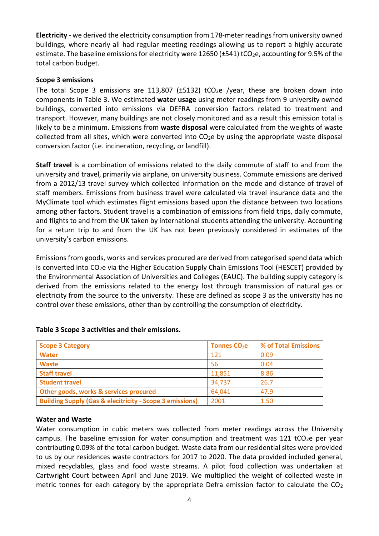**Electricity** - we derived the electricity consumption from 178-meter readings from university owned buildings, where nearly all had regular meeting readings allowing us to report a highly accurate estimate. The baseline emissions for electricity were 12650 (±541) tCO<sub>2</sub>e, accounting for 9.5% of the total carbon budget.

### **Scope 3 emissions**

The total Scope 3 emissions are 113,807 ( $\pm$ 5132) tCO<sub>2</sub>e /year, these are broken down into components in Table 3. We estimated **water usage** using meter readings from 9 university owned buildings, converted into emissions via DEFRA conversion factors related to treatment and transport. However, many buildings are not closely monitored and as a result this emission total is likely to be a minimum. Emissions from **waste disposal** were calculated from the weights of waste collected from all sites, which were converted into  $CO<sub>2</sub>e$  by using the appropriate waste disposal conversion factor (i.e. incineration, recycling, or landfill).

**Staff travel** is a combination of emissions related to the daily commute of staff to and from the university and travel, primarily via airplane, on university business. Commute emissions are derived from a 2012/13 travel survey which collected information on the mode and distance of travel of staff members. Emissions from business travel were calculated via travel insurance data and the MyClimate tool which estimates flight emissions based upon the distance between two locations among other factors. Student travel is a combination of emissions from field trips, daily commute, and flights to and from the UK taken by international students attending the university. Accounting for a return trip to and from the UK has not been previously considered in estimates of the university's carbon emissions.

Emissions from goods, works and services procured are derived from categorised spend data which is converted into CO2e via the Higher Education Supply Chain Emissions Tool (HESCET) provided by the Environmental Association of Universities and Colleges (EAUC). The building supply category is derived from the emissions related to the energy lost through transmission of natural gas or electricity from the source to the university. These are defined as scope 3 as the university has no control over these emissions, other than by controlling the consumption of electricity.

| <b>Scope 3 Category</b>                                             | Tonnes CO <sub>2</sub> e | % of Total Emissions |
|---------------------------------------------------------------------|--------------------------|----------------------|
| <b>Water</b>                                                        | 121                      | 0.09                 |
| <b>Waste</b>                                                        | 56                       | 0.04                 |
| <b>Staff travel</b>                                                 | 11,851                   | 8.86                 |
| <b>Student travel</b>                                               | 34,737                   | 26.7                 |
| Other goods, works & services procured                              | 64,041                   | 47.9                 |
| <b>Building Supply (Gas &amp; elecitricity - Scope 3 emissions)</b> | 2001                     | 1.50                 |

### **Table 3 Scope 3 activities and their emissions.**

### **Water and Waste**

Water consumption in cubic meters was collected from meter readings across the University campus. The baseline emission for water consumption and treatment was 121 tCO<sub>2</sub>e per year contributing 0.09% of the total carbon budget. Waste data from our residential sites were provided to us by our residences waste contractors for 2017 to 2020. The data provided included general, mixed recyclables, glass and food waste streams. A pilot food collection was undertaken at Cartwright Court between April and June 2019. We multiplied the weight of collected waste in metric tonnes for each category by the appropriate Defra emission factor to calculate the  $CO<sub>2</sub>$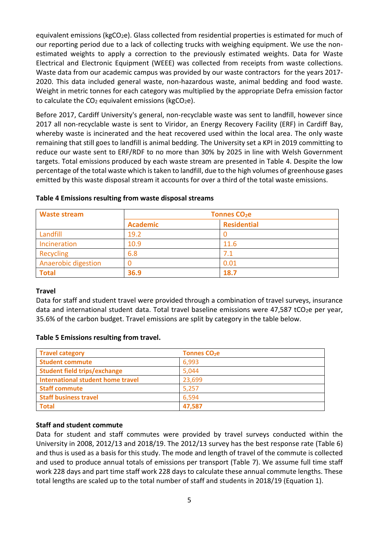equivalent emissions (kgCO<sub>2</sub>e). Glass collected from residential properties is estimated for much of our reporting period due to a lack of collecting trucks with weighing equipment. We use the nonestimated weights to apply a correction to the previously estimated weights. Data for Waste Electrical and Electronic Equipment (WEEE) was collected from receipts from waste collections. Waste data from our academic campus was provided by our waste contractors for the years 2017- 2020. This data included general waste, non-hazardous waste, animal bedding and food waste. Weight in metric tonnes for each category was multiplied by the appropriate Defra emission factor to calculate the  $CO<sub>2</sub>$  equivalent emissions (kgCO<sub>2</sub>e).

Before 2017, Cardiff University's general, non-recyclable waste was sent to landfill, however since 2017 all non-recyclable waste is sent to Viridor, an Energy Recovery Facility (ERF) in Cardiff Bay, whereby waste is incinerated and the heat recovered used within the local area. The only waste remaining that still goes to landfill is animal bedding. The University set a KPI in 2019 committing to reduce our waste sent to ERF/RDF to no more than 30% by 2025 in line with Welsh Government targets. Total emissions produced by each waste stream are presented in Table 4. Despite the low percentage of the total waste which is taken to landfill, due to the high volumes of greenhouse gases emitted by this waste disposal stream it accounts for over a third of the total waste emissions.

| <b>Waste stream</b>        | Tonnes CO <sub>2</sub> e |                    |  |
|----------------------------|--------------------------|--------------------|--|
|                            | <b>Academic</b>          | <b>Residential</b> |  |
| Landfill                   | 19.2                     |                    |  |
| Incineration               | 10.9                     | 11.6               |  |
| Recycling                  | 6.8                      | 7.1                |  |
| <b>Anaerobic digestion</b> |                          | 0.01               |  |
| <b>Total</b>               | 36.9                     | 18.7               |  |

#### **Table 4 Emissions resulting from waste disposal streams**

### **Travel**

Data for staff and student travel were provided through a combination of travel surveys, insurance data and international student data. Total travel baseline emissions were 47,587 tCO<sub>2</sub>e per year, 35.6% of the carbon budget. Travel emissions are split by category in the table below.

### **Table 5 Emissions resulting from travel.**

| <b>Travel category</b>                   | Tonnes CO <sub>2</sub> e |
|------------------------------------------|--------------------------|
| <b>Student commute</b>                   | 6,993                    |
| <b>Student field trips/exchange</b>      | 5.044                    |
| <b>International student home travel</b> | 23,699                   |
| <b>Staff commute</b>                     | 5,257                    |
| <b>Staff business travel</b>             | 6,594                    |
| <b>Total</b>                             | 47,587                   |

# **Staff and student commute**

Data for student and staff commutes were provided by travel surveys conducted within the University in 2008, 2012/13 and 2018/19. The 2012/13 survey has the best response rate (Table 6) and thus is used as a basis for this study. The mode and length of travel of the commute is collected and used to produce annual totals of emissions per transport (Table 7). We assume full time staff work 228 days and part time staff work 228 days to calculate these annual commute lengths. These total lengths are scaled up to the total number of staff and students in 2018/19 (Equation 1).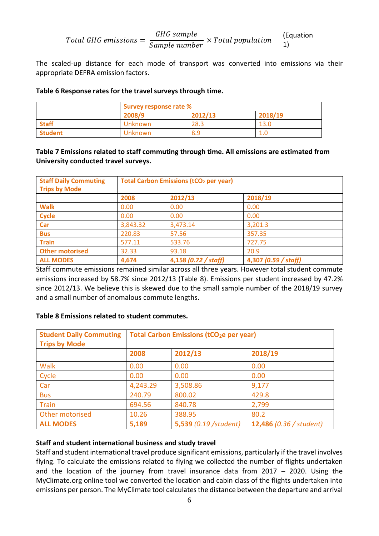Total GHG emissions = 
$$
\frac{GHG sample}{Sample number} \times Total population
$$
 [Equation 1]

The scaled-up distance for each mode of transport was converted into emissions via their appropriate DEFRA emission factors.

#### **Table 6 Response rates for the travel surveys through time.**

|                | <b>Survey response rate %</b> |      |      |  |  |
|----------------|-------------------------------|------|------|--|--|
|                | 2012/13<br>2018/19<br>2008/9  |      |      |  |  |
| <b>Staff</b>   | Unknown                       | 28.3 | 13.0 |  |  |
| <b>Student</b> | Unknown                       | 8.9  | 1.0  |  |  |

# **Table 7 Emissions related to staff commuting through time. All emissions are estimated from University conducted travel surveys.**

| <b>Staff Daily Commuting</b><br><b>Trips by Mode</b> | <b>Total Carbon Emissions (tCO2 per year)</b> |                      |                      |  |
|------------------------------------------------------|-----------------------------------------------|----------------------|----------------------|--|
|                                                      | 2008                                          | 2012/13              | 2018/19              |  |
| <b>Walk</b>                                          | 0.00                                          | 0.00                 | 0.00                 |  |
| <b>Cycle</b>                                         | 0.00                                          | 0.00                 | 0.00                 |  |
| Car                                                  | 3,843.32                                      | 3,473.14             | 3,201.3              |  |
| <b>Bus</b>                                           | 220.83                                        | 57.56                | 357.35               |  |
| <b>Train</b>                                         | 577.11                                        | 533.76               | 727.75               |  |
| <b>Other motorised</b>                               | 32.33                                         | 93.18                | 20.9                 |  |
| <b>ALL MODES</b>                                     | 4,674                                         | 4,158 (0.72 / staff) | 4,307 (0.59 / staff) |  |

Staff commute emissions remained similar across all three years. However total student commute emissions increased by 58.7% since 2012/13 (Table 8). Emissions per student increased by 47.2% since 2012/13. We believe this is skewed due to the small sample number of the 2018/19 survey and a small number of anomalous commute lengths.

### **Table 8 Emissions related to student commutes.**

| <b>Student Daily Commuting</b><br><b>Trips by Mode</b> | <b>Total Carbon Emissions (tCO<sub>2</sub>e per year)</b> |                       |                         |  |
|--------------------------------------------------------|-----------------------------------------------------------|-----------------------|-------------------------|--|
|                                                        | 2008                                                      | 2012/13               | 2018/19                 |  |
| Walk                                                   | 0.00                                                      | 0.00                  | 0.00                    |  |
| Cycle                                                  | 0.00                                                      | 0.00                  | 0.00                    |  |
| Car                                                    | 4,243.29                                                  | 3,508.86              | 9,177                   |  |
| <b>Bus</b>                                             | 240.79                                                    | 800.02                | 429.8                   |  |
| <b>Train</b>                                           | 694.56                                                    | 840.78                | 2,799                   |  |
| Other motorised                                        | 10.26                                                     | 388.95                | 80.2                    |  |
| <b>ALL MODES</b>                                       | 5,189                                                     | 5,539 (0.19 /student) | 12,486 (0.36 / student) |  |

### **Staff and student international business and study travel**

Staff and student international travel produce significant emissions, particularly if the travel involves flying. To calculate the emissions related to flying we collected the number of flights undertaken and the location of the journey from travel insurance data from  $2017 - 2020$ . Using the MyClimate.org online tool we converted the location and cabin class of the flights undertaken into emissions per person. The MyClimate tool calculates the distance between the departure and arrival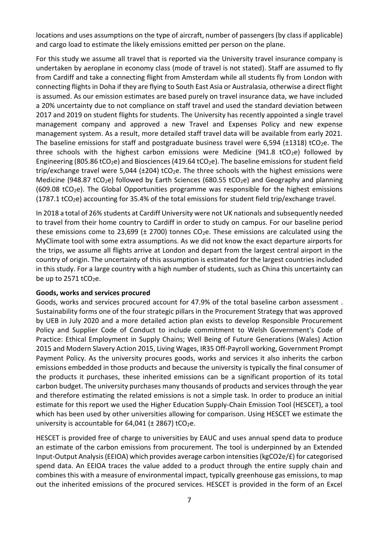locations and uses assumptions on the type of aircraft, number of passengers (by class if applicable) and cargo load to estimate the likely emissions emitted per person on the plane.

For this study we assume all travel that is reported via the University travel insurance company is undertaken by aeroplane in economy class (mode of travel is not stated). Staff are assumed to fly from Cardiff and take a connecting flight from Amsterdam while all students fly from London with connecting flights in Doha if they are flying to South East Asia or Australasia, otherwise a direct flight is assumed. As our emission estimates are based purely on travel insurance data, we have included a 20% uncertainty due to not compliance on staff travel and used the standard deviation between 2017 and 2019 on student flights for students. The University has recently appointed a single travel management company and approved a new Travel and Expenses Policy and new expense management system. As a result, more detailed staff travel data will be available from early 2021. The baseline emissions for staff and postgraduate business travel were 6,594 ( $\pm$ 1318) tCO<sub>2</sub>e. The three schools with the highest carbon emissions were Medicine (941.8 tCO<sub>2</sub>e) followed by Engineering (805.86 tCO<sub>2</sub>e) and Biosciences (419.64 tCO<sub>2</sub>e). The baseline emissions for student field trip/exchange travel were 5,044 ( $\pm$ 204) tCO<sub>2</sub>e. The three schools with the highest emissions were Medicine (948.87 tCO<sub>2</sub>e) followed by Earth Sciences (680.55 tCO<sub>2</sub>e) and Geography and planning  $(609.08 \text{ tCO}_2\text{e})$ . The Global Opportunities programme was responsible for the highest emissions  $(1787.1 \text{ tCO}_2e)$  accounting for 35.4% of the total emissions for student field trip/exchange travel.

In 2018 a total of 26% students at Cardiff University were not UK nationals and subsequently needed to travel from their home country to Cardiff in order to study on campus. For our baseline period these emissions come to 23,699 ( $\pm$  2700) tonnes CO<sub>2</sub>e. These emissions are calculated using the MyClimate tool with some extra assumptions. As we did not know the exact departure airports for the trips, we assume all flights arrive at London and depart from the largest central airport in the country of origin. The uncertainty of this assumption is estimated for the largest countries included in this study. For a large country with a high number of students, such as China this uncertainty can be up to  $2571$  tCO<sub>2</sub>e.

### **Goods, works and services procured**

Goods, works and services procured account for 47.9% of the total baseline carbon assessment . Sustainability forms one of the four strategic pillars in the Procurement Strategy that was approved by UEB in July 2020 and a more detailed action plan exists to develop Responsible Procurement Policy and Supplier Code of Conduct to include commitment to Welsh Government's Code of Practice: Ethical Employment in Supply Chains; Well Being of Future Generations (Wales) Action 2015 and Modern Slavery Action 2015, Living Wages, IR35 Off-Payroll working, Government Prompt Payment Policy. As the university procures goods, works and services it also inherits the carbon emissions embedded in those products and because the university is typically the final consumer of the products it purchases, these inherited emissions can be a significant proportion of its total carbon budget. The university purchases many thousands of products and services through the year and therefore estimating the related emissions is not a simple task. In order to produce an initial estimate for this report we used the Higher Education Supply-Chain Emission Tool (HESCET), a tool which has been used by other universities allowing for comparison. Using HESCET we estimate the university is accountable for 64,041 ( $\pm$  2867) tCO<sub>2</sub>e.

HESCET is provided free of charge to universities by EAUC and uses annual spend data to produce an estimate of the carbon emissions from procurement. The tool is underpinned by an Extended Input-Output Analysis (EEIOA) which provides average carbon intensities (kgCO2e/£) for categorised spend data. An EEIOA traces the value added to a product through the entire supply chain and combines this with a measure of environmental impact, typically greenhouse gas emissions, to map out the inherited emissions of the procured services. HESCET is provided in the form of an Excel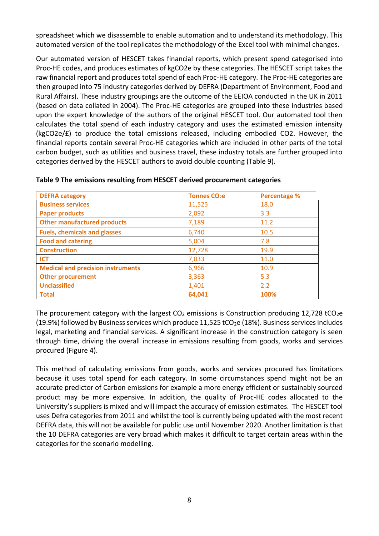spreadsheet which we disassemble to enable automation and to understand its methodology. This automated version of the tool replicates the methodology of the Excel tool with minimal changes.

Our automated version of HESCET takes financial reports, which present spend categorised into Proc-HE codes, and produces estimates of kgCO2e by these categories. The HESCET script takes the raw financial report and produces total spend of each Proc-HE category. The Proc-HE categories are then grouped into 75 industry categories derived by DEFRA (Department of Environment, Food and Rural Affairs). These industry groupings are the outcome of the EEIOA conducted in the UK in 2011 (based on data collated in 2004). The Proc-HE categories are grouped into these industries based upon the expert knowledge of the authors of the original HESCET tool. Our automated tool then calculates the total spend of each industry category and uses the estimated emission intensity (kgCO2e/£) to produce the total emissions released, including embodied CO2. However, the financial reports contain several Proc-HE categories which are included in other parts of the total carbon budget, such as utilities and business travel, these industry totals are further grouped into categories derived by the HESCET authors to avoid double counting (Table 9).

| <b>DEFRA category</b>                    | <b>Tonnes CO<sub>2</sub>e</b> | <b>Percentage %</b> |
|------------------------------------------|-------------------------------|---------------------|
| <b>Business services</b>                 | 11,525                        | 18.0                |
| <b>Paper products</b>                    | 2,092                         | 3.3                 |
| <b>Other manufactured products</b>       | 7,189                         | 11.2                |
| <b>Fuels, chemicals and glasses</b>      | 6,740                         | 10.5                |
| <b>Food and catering</b>                 | 5,004                         | 7.8                 |
| <b>Construction</b>                      | 12,728                        | 19.9                |
| <b>ICT</b>                               | 7,033                         | 11.0                |
| <b>Medical and precision instruments</b> | 6,966                         | 10.9                |
| <b>Other procurement</b>                 | 3,363                         | 5.3                 |
| <b>Unclassified</b>                      | 1,401                         | 2.2                 |
| <b>Total</b>                             | 64,041                        | 100%                |

### **Table 9 The emissions resulting from HESCET derived procurement categories**

The procurement category with the largest  $CO<sub>2</sub>$  emissions is Construction producing 12,728 tCO<sub>2</sub>e (19.9%) followed by Business services which produce  $11,525$  tCO<sub>2</sub>e (18%). Business services includes legal, marketing and financial services. A significant increase in the construction category is seen through time, driving the overall increase in emissions resulting from goods, works and services procured (Figure 4).

This method of calculating emissions from goods, works and services procured has limitations because it uses total spend for each category. In some circumstances spend might not be an accurate predictor of Carbon emissions for example a more energy efficient or sustainably sourced product may be more expensive. In addition, the quality of Proc-HE codes allocated to the University's suppliers is mixed and will impact the accuracy of emission estimates. The HESCET tool uses Defra categories from 2011 and whilst the tool is currently being updated with the most recent DEFRA data, this will not be available for public use until November 2020. Another limitation is that the 10 DEFRA categories are very broad which makes it difficult to target certain areas within the categories for the scenario modelling.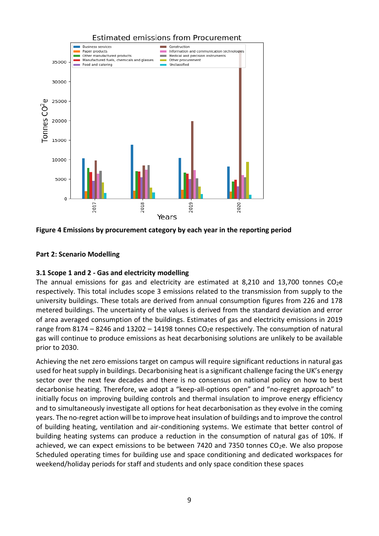



### **Part 2: Scenario Modelling**

### **3.1 Scope 1 and 2 - Gas and electricity modelling**

The annual emissions for gas and electricity are estimated at 8,210 and 13,700 tonnes  $CO<sub>2</sub>e$ respectively. This total includes scope 3 emissions related to the transmission from supply to the university buildings. These totals are derived from annual consumption figures from 226 and 178 metered buildings. The uncertainty of the values is derived from the standard deviation and error of area averaged consumption of the buildings. Estimates of gas and electricity emissions in 2019 range from 8174 – 8246 and 13202 – 14198 tonnes  $CO<sub>2</sub>e$  respectively. The consumption of natural gas will continue to produce emissions as heat decarbonising solutions are unlikely to be available prior to 2030.

Achieving the net zero emissions target on campus will require significant reductions in natural gas used for heat supply in buildings. Decarbonising heat is a significant challenge facing the UK's energy sector over the next few decades and there is no consensus on national policy on how to best decarbonise heating. Therefore, we adopt a "keep-all-options open" and "no-regret approach" to initially focus on improving building controls and thermal insulation to improve energy efficiency and to simultaneously investigate all options for heat decarbonisation as they evolve in the coming years. The no-regret action will be to improve heat insulation of buildings and to improve the control of building heating, ventilation and air-conditioning systems. We estimate that better control of building heating systems can produce a reduction in the consumption of natural gas of 10%. If achieved, we can expect emissions to be between 7420 and 7350 tonnes  $CO<sub>2</sub>e$ . We also propose Scheduled operating times for building use and space conditioning and dedicated workspaces for weekend/holiday periods for staff and students and only space condition these spaces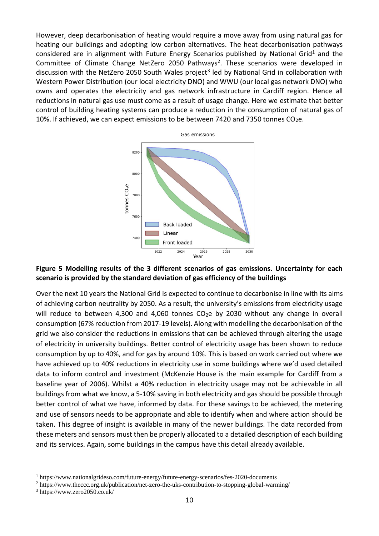However, deep decarbonisation of heating would require a move away from using natural gas for heating our buildings and adopting low carbon alternatives. The heat decarbonisation pathways considered are in alignment with Future Energy Scenarios published by National Grid<sup>1</sup> and the Committee of Climate Change NetZero 2050 Pathways<sup>2</sup>. These scenarios were developed in discussion with the NetZero 2050 South Wales project<sup>3</sup> led by National Grid in collaboration with Western Power Distribution (our local electricity DNO) and WWU (our local gas network DNO) who owns and operates the electricity and gas network infrastructure in Cardiff region. Hence all reductions in natural gas use must come as a result of usage change. Here we estimate that better control of building heating systems can produce a reduction in the consumption of natural gas of 10%. If achieved, we can expect emissions to be between 7420 and 7350 tonnes  $CO<sub>2</sub>e$ .



# **Figure 5 Modelling results of the 3 different scenarios of gas emissions. Uncertainty for each scenario is provided by the standard deviation of gas efficiency of the buildings**

Over the next 10 years the National Grid is expected to continue to decarbonise in line with its aims of achieving carbon neutrality by 2050. As a result, the university's emissions from electricity usage will reduce to between 4,300 and 4,060 tonnes  $CO<sub>2</sub>e$  by 2030 without any change in overall consumption (67% reduction from 2017-19 levels). Along with modelling the decarbonisation of the grid we also consider the reductions in emissions that can be achieved through altering the usage of electricity in university buildings. Better control of electricity usage has been shown to reduce consumption by up to 40%, and for gas by around 10%. This is based on work carried out where we have achieved up to 40% reductions in electricity use in some buildings where we'd used detailed data to inform control and investment (McKenzie House is the main example for Cardiff from a baseline year of 2006). Whilst a 40% reduction in electricity usage may not be achievable in all buildings from what we know, a 5-10% saving in both electricity and gas should be possible through better control of what we have, informed by data. For these savings to be achieved, the metering and use of sensors needs to be appropriate and able to identify when and where action should be taken. This degree of insight is available in many of the newer buildings. The data recorded from these meters and sensors must then be properly allocated to a detailed description of each building and its services. Again, some buildings in the campus have this detail already available.

<sup>1</sup> https://www.nationalgrideso.com/future-energy/future-energy-scenarios/fes-2020-documents

<sup>2</sup> https://www.theccc.org.uk/publication/net-zero-the-uks-contribution-to-stopping-global-warming/

<sup>3</sup> https://www.zero2050.co.uk/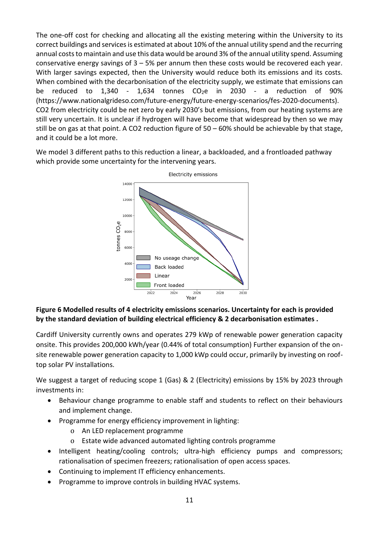The one-off cost for checking and allocating all the existing metering within the University to its correct buildings and services is estimated at about 10% of the annual utility spend and the recurring annual costs to maintain and use this data would be around 3% of the annual utility spend. Assuming conservative energy savings of 3 – 5% per annum then these costs would be recovered each year. With larger savings expected, then the University would reduce both its emissions and its costs. When combined with the decarbonisation of the electricity supply, we estimate that emissions can be reduced to  $1,340$  -  $1,634$  tonnes  $CO<sub>2</sub>e$  in 2030 - a reduction of 90% [\(https://www.nationalgrideso.com/future-energy/future-energy-scenarios/fes-2020-documents\)](https://eur03.safelinks.protection.outlook.com/?url=https%3A%2F%2Fwww.nationalgrideso.com%2Ffuture-energy%2Ffuture-energy-scenarios%2Ffes-2020-documents&data=04%7C01%7CHendersonKA%40cardiff.ac.uk%7C52ce439b6b37438e3d3708d8b89efaf8%7Cbdb74b3095684856bdbf06759778fcbc%7C1%7C0%7C637462340236702293%7CUnknown%7CTWFpbGZsb3d8eyJWIjoiMC4wLjAwMDAiLCJQIjoiV2luMzIiLCJBTiI6Ik1haWwiLCJXVCI6Mn0%3D%7C1000&sdata=oXaROKOFTQYAWSgAIGprxzRUjwk7fKJtusQMe9ew5f4%3D&reserved=0%22%20o%20%22Original%20URL:%20https://www.nationalgrideso.com/future-energy/future-energy-scenarios/fes-2020-documents.%20Click%20or%20tap%20if%20you%20trust%20this%20link.%22%20t%20%22_blank). CO2 from electricity could be net zero by early 2030's but emissions, from our heating systems are still very uncertain. It is unclear if hydrogen will have become that widespread by then so we may still be on gas at that point. A CO2 reduction figure of 50 – 60% should be achievable by that stage, and it could be a lot more.

We model 3 different paths to this reduction a linear, a backloaded, and a frontloaded pathway which provide some uncertainty for the intervening years.



**Figure 6 Modelled results of 4 electricity emissions scenarios. Uncertainty for each is provided by the standard deviation of building electrical efficiency & 2 decarbonisation estimates .** 

Cardiff University currently owns and operates 279 kWp of renewable power generation capacity onsite. This provides 200,000 kWh/year (0.44% of total consumption) Further expansion of the onsite renewable power generation capacity to 1,000 kWp could occur, primarily by investing on rooftop solar PV installations.

We suggest a target of reducing scope 1 (Gas) & 2 (Electricity) emissions by 15% by 2023 through investments in:

- Behaviour change programme to enable staff and students to reflect on their behaviours and implement change.
- Programme for energy efficiency improvement in lighting:
	- o An LED replacement programme
	- o Estate wide advanced automated lighting controls programme
- Intelligent heating/cooling controls; ultra-high efficiency pumps and compressors; rationalisation of specimen freezers; rationalisation of open access spaces.
- Continuing to implement IT efficiency enhancements.
- Programme to improve controls in building HVAC systems.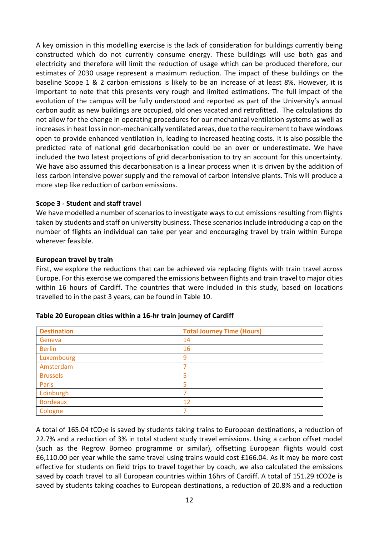A key omission in this modelling exercise is the lack of consideration for buildings currently being constructed which do not currently consume energy. These buildings will use both gas and electricity and therefore will limit the reduction of usage which can be produced therefore, our estimates of 2030 usage represent a maximum reduction. The impact of these buildings on the baseline Scope 1 & 2 carbon emissions is likely to be an increase of at least 8%. However, it is important to note that this presents very rough and limited estimations. The full impact of the evolution of the campus will be fully understood and reported as part of the University's annual carbon audit as new buildings are occupied, old ones vacated and retrofitted. The calculations do not allow for the change in operating procedures for our mechanical ventilation systems as well as increases in heat loss in non-mechanically ventilated areas, due to the requirement to have windows open to provide enhanced ventilation in, leading to increased heating costs. It is also possible the predicted rate of national grid decarbonisation could be an over or underestimate. We have included the two latest projections of grid decarbonisation to try an account for this uncertainty. We have also assumed this decarbonisation is a linear process when it is driven by the addition of less carbon intensive power supply and the removal of carbon intensive plants. This will produce a more step like reduction of carbon emissions.

### **Scope 3 - Student and staff travel**

We have modelled a number of scenarios to investigate ways to cut emissions resulting from flights taken by students and staff on university business. These scenarios include introducing a cap on the number of flights an individual can take per year and encouraging travel by train within Europe wherever feasible.

### **European travel by train**

First, we explore the reductions that can be achieved via replacing flights with train travel across Europe. For this exercise we compared the emissions between flights and train travel to major cities within 16 hours of Cardiff. The countries that were included in this study, based on locations travelled to in the past 3 years, can be found in Table 10.

| <b>Destination</b> | <b>Total Journey Time (Hours)</b> |
|--------------------|-----------------------------------|
| Geneva             | 14                                |
| <b>Berlin</b>      | 16                                |
| Luxembourg         | 9                                 |
| Amsterdam          |                                   |
| <b>Brussels</b>    | 5                                 |
| Paris              | 5                                 |
| Edinburgh          |                                   |
| <b>Bordeaux</b>    | 12                                |
| Cologne            |                                   |

#### **Table 20 European cities within a 16-hr train journey of Cardiff**

A total of 165.04 tCO<sub>2</sub>e is saved by students taking trains to European destinations, a reduction of 22.7% and a reduction of 3% in total student study travel emissions. Using a carbon offset model (such as the Regrow Borneo programme or similar), offsetting European flights would cost £6,110.00 per year while the same travel using trains would cost £166.04. As it may be more cost effective for students on field trips to travel together by coach, we also calculated the emissions saved by coach travel to all European countries within 16hrs of Cardiff. A total of 151.29 tCO2e is saved by students taking coaches to European destinations, a reduction of 20.8% and a reduction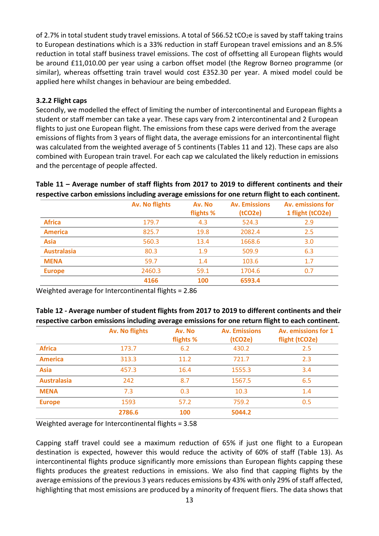of 2.7% in total student study travel emissions. A total of  $566.52$  tCO<sub>2</sub>e is saved by staff taking trains to European destinations which is a 33% reduction in staff European travel emissions and an 8.5% reduction in total staff business travel emissions. The cost of offsetting all European flights would be around £11,010.00 per year using a carbon offset model (the Regrow Borneo programme (or similar), whereas offsetting train travel would cost £352.30 per year. A mixed model could be applied here whilst changes in behaviour are being embedded.

# **3.2.2 Flight caps**

Secondly, we modelled the effect of limiting the number of intercontinental and European flights a student or staff member can take a year. These caps vary from 2 intercontinental and 2 European flights to just one European flight. The emissions from these caps were derived from the average emissions of flights from 3 years of flight data, the average emissions for an intercontinental flight was calculated from the weighted average of 5 continents (Tables 11 and 12). These caps are also combined with European train travel. For each cap we calculated the likely reduction in emissions and the percentage of people affected.

### **Table 11 – Average number of staff flights from 2017 to 2019 to different continents and their respective carbon emissions including average emissions for one return flight to each continent.**

| <b>Av. No flights</b> | Av. No    |                                 |                                       |
|-----------------------|-----------|---------------------------------|---------------------------------------|
|                       | flights % | <b>Av. Emissions</b><br>(tCO2e) | Av. emissions for<br>1 flight (tCO2e) |
| 179.7                 | 4.3       | 524.3                           | 2.9                                   |
| 825.7                 | 19.8      | 2082.4                          | 2.5                                   |
| 560.3                 | 13.4      | 1668.6                          | 3.0                                   |
| 80.3                  | 1.9       | 509.9                           | 6.3                                   |
| 59.7                  | 1.4       | 103.6                           | 1.7                                   |
| 2460.3                | 59.1      | 1704.6                          | 0.7                                   |
|                       | 100       | 6593.4                          |                                       |
|                       | 4166      |                                 |                                       |

Weighted average for Intercontinental flights = 2.86

# **Table 12 - Average number of student flights from 2017 to 2019 to different continents and their respective carbon emissions including average emissions for one return flight to each continent.**

|                    | <b>Av. No flights</b> | Av. No<br>flights % | <b>Av. Emissions</b><br>(tCO2e) | Av. emissions for 1<br>flight (tCO2e) |
|--------------------|-----------------------|---------------------|---------------------------------|---------------------------------------|
| <b>Africa</b>      | 173.7                 | 6.2                 | 430.2                           | 2.5                                   |
| <b>America</b>     | 313.3                 | 11.2                | 721.7                           | 2.3                                   |
| <b>Asia</b>        | 457.3                 | 16.4                | 1555.3                          | 3.4                                   |
| <b>Australasia</b> | 242                   | 8.7                 | 1567.5                          | 6.5                                   |
| <b>MENA</b>        | 7.3                   | 0.3                 | 10.3                            | 1.4                                   |
| <b>Europe</b>      | 1593                  | 57.2                | 759.2                           | 0.5                                   |
|                    | 2786.6                | 100                 | 5044.2                          |                                       |

Weighted average for Intercontinental flights = 3.58

Capping staff travel could see a maximum reduction of 65% if just one flight to a European destination is expected, however this would reduce the activity of 60% of staff (Table 13). As intercontinental flights produce significantly more emissions than European flights capping these flights produces the greatest reductions in emissions. We also find that capping flights by the average emissions of the previous 3 years reduces emissions by 43% with only 29% of staff affected, highlighting that most emissions are produced by a minority of frequent fliers. The data shows that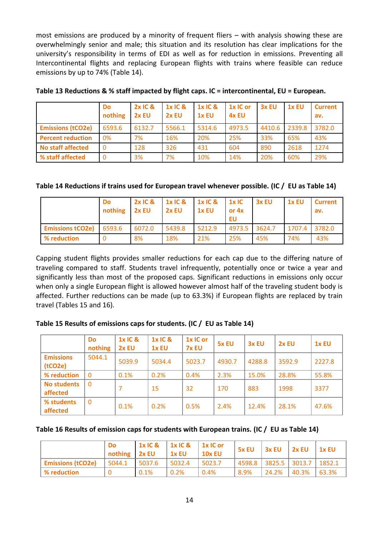most emissions are produced by a minority of frequent fliers – with analysis showing these are overwhelmingly senior and male; this situation and its resolution has clear implications for the university's responsibility in terms of EDI as well as for reduction in emissions. Preventing all Intercontinental flights and replacing European flights with trains where feasible can reduce emissions by up to 74% (Table 14).

|                          | Do<br>nothing | 2x IC &<br>2x EU | <b>1x IC &amp;</b><br>2x EU | <b>1x IC &amp;</b><br>1x EU | 1x IC or<br>4x EU | $3x$ EU | <b>1x EU</b> | <b>Current</b><br>av. |
|--------------------------|---------------|------------------|-----------------------------|-----------------------------|-------------------|---------|--------------|-----------------------|
| <b>Emissions (tCO2e)</b> | 6593.6        | 6132.7           | 5566.1                      | 5314.6                      | 4973.5            | 4410.6  | 2339.8       | 3782.0                |
| <b>Percent reduction</b> | 0%            | 7%               | 16%                         | 20%                         | 25%               | 33%     | 65%          | 43%                   |
| <b>No staff affected</b> |               | 128              | 326                         | 431                         | 604               | 890     | 2618         | 1274                  |
| % staff affected         |               | 3%               | 7%                          | 10%                         | 14%               | 20%     | 60%          | 29%                   |

| Table 13 Reductions & % staff impacted by flight caps. IC = intercontinental, EU = European. |  |  |  |  |  |
|----------------------------------------------------------------------------------------------|--|--|--|--|--|
|----------------------------------------------------------------------------------------------|--|--|--|--|--|

### **Table 14 Reductions if trains used for European travel whenever possible. (IC / EU as Table 14)**

|                                | Do<br>nothing | 2x IC &<br>2x EU | <b>1x IC &amp;</b><br>2x EU | 1x IC &<br>$1x$ EU | 1xIC<br>or $4x$<br>EU. | 3x EU | $1x$ EU       | <b>Current</b><br>av. |
|--------------------------------|---------------|------------------|-----------------------------|--------------------|------------------------|-------|---------------|-----------------------|
| <b>Emissions tCO2e)</b> 6593.6 |               | 6072.0           | 5439.8                      | 5212.9             | 4973.5 3624.7          |       | 1707.4 3782.0 |                       |
| % reduction                    |               | 8%               | 18%                         | 21%                | 25%                    | 45%   | 74%           | 43%                   |

Capping student flights provides smaller reductions for each cap due to the differing nature of traveling compared to staff. Students travel infrequently, potentially once or twice a year and significantly less than most of the proposed caps. Significant reductions in emissions only occur when only a single European flight is allowed however almost half of the traveling student body is affected. Further reductions can be made (up to 63.3%) if European flights are replaced by train travel (Tables 15 and 16).

# **Table 15 Results of emissions caps for students. (IC / EU as Table 14)**

|                                | <b>Do</b><br>nothing | 1x IC &<br>2x EU | 1x IC &<br>1x EU | 1x IC or<br>7x EU | 5x EU  | 3x EU  | 2x EU  | 1x EU  |
|--------------------------------|----------------------|------------------|------------------|-------------------|--------|--------|--------|--------|
| <b>Emissions</b><br>(tCO2e)    | 5044.1               | 5039.9           | 5034.4           | 5023.7            | 4930.7 | 4288.8 | 3592.9 | 2227.8 |
| % reduction                    | $\overline{0}$       | 0.1%             | 0.2%             | 0.4%              | 2.3%   | 15.0%  | 28.8%  | 55.8%  |
| <b>No students</b><br>affected | $\overline{0}$       |                  | 15               | 32                | 170    | 883    | 1998   | 3377   |
| % students<br>affected         | $\mathbf 0$          | 0.1%             | 0.2%             | 0.5%              | 2.4%   | 12.4%  | 28.1%  | 47.6%  |

### **Table 16 Results of emission caps for students with European trains. (IC / EU as Table 14)**

|                          | Do<br>nothing 2x EU | $1x$ IC & $1x$ IC & $1x$ IC or | <b>1x EU</b> | $10x$ EU | 5x EU           |       | $3x$ EU $2x$ EU $1x$ EU           |       |
|--------------------------|---------------------|--------------------------------|--------------|----------|-----------------|-------|-----------------------------------|-------|
| <b>Emissions (tCO2e)</b> | 5044.1              | 5037.6                         | 5032.4       | 5023.7   |                 |       | 4598.8   3825.5   3013.7   1852.1 |       |
| % reduction              |                     | 0.1%                           | 0.2%         | 0.4%     | $^{\circ}$ 8.9% | 24.2% | $ 40.3\%$                         | 63.3% |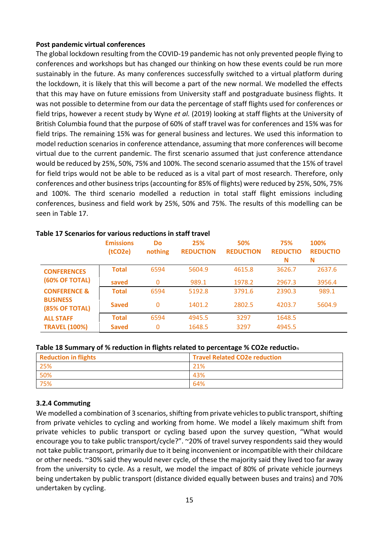# **Post pandemic virtual conferences**

The global lockdown resulting from the COVID-19 pandemic has not only prevented people flying to conferences and workshops but has changed our thinking on how these events could be run more sustainably in the future. As many conferences successfully switched to a virtual platform during the lockdown, it is likely that this will become a part of the new normal. We modelled the effects that this may have on future emissions from University staff and postgraduate business flights. It was not possible to determine from our data the percentage of staff flights used for conferences or field trips, however a recent study by Wyne *et al.* (2019) looking at staff flights at the University of British Columbia found that the purpose of 60% of staff travel was for conferences and 15% was for field trips. The remaining 15% was for general business and lectures. We used this information to model reduction scenarios in conference attendance, assuming that more conferences will become virtual due to the current pandemic. The first scenario assumed that just conference attendance would be reduced by 25%, 50%, 75% and 100%. The second scenario assumed that the 15% of travel for field trips would not be able to be reduced as is a vital part of most research. Therefore, only conferences and other business trips (accounting for 85% of flights) were reduced by 25%, 50%, 75% and 100%. The third scenario modelled a reduction in total staff flight emissions including conferences, business and field work by 25%, 50% and 75%. The results of this modelling can be seen in Table 17.

|                                   | <b>Emissions</b><br>(tCO2e) | <b>Do</b><br>nothing | 25%<br><b>REDUCTION</b> | 50%<br><b>REDUCTION</b> | 75%<br><b>REDUCTIO</b><br>N | 100%<br><b>REDUCTIO</b><br>N |
|-----------------------------------|-----------------------------|----------------------|-------------------------|-------------------------|-----------------------------|------------------------------|
| <b>CONFERENCES</b>                | <b>Total</b>                | 6594                 | 5604.9                  | 4615.8                  | 3626.7                      | 2637.6                       |
| (60% OF TOTAL)                    | saved                       | 0                    | 989.1                   | 1978.2                  | 2967.3                      | 3956.4                       |
| <b>CONFERENCE &amp;</b>           | <b>Total</b>                | 6594                 | 5192.8                  | 3791.6                  | 2390.3                      | 989.1                        |
| <b>BUSINESS</b><br>(85% OF TOTAL) | <b>Saved</b>                | $\Omega$             | 1401.2                  | 2802.5                  | 4203.7                      | 5604.9                       |
| <b>ALL STAFF</b>                  | Total                       | 6594                 | 4945.5                  | 3297                    | 1648.5                      |                              |
| <b>TRAVEL (100%)</b>              | <b>Saved</b>                | 0                    | 1648.5                  | 3297                    | 4945.5                      |                              |

### **Table 17 Scenarios for various reductions in staff travel**

#### Table 18 Summary of % reduction in flights related to percentage % CO2e reductio<sub>N</sub>

| <b>Reduction in flights</b> | <b>Travel Related CO2e reduction</b> |
|-----------------------------|--------------------------------------|
| 25%                         | 21%                                  |
| 50%                         | 43%                                  |
| 75%                         | 64%                                  |

### **3.2.4 Commuting**

We modelled a combination of 3 scenarios, shifting from private vehicles to public transport, shifting from private vehicles to cycling and working from home. We model a likely maximum shift from private vehicles to public transport or cycling based upon the survey question, "What would encourage you to take public transport/cycle?". ~20% of travel survey respondents said they would not take public transport, primarily due to it being inconvenient or incompatible with their childcare or other needs. ~30% said they would never cycle, of these the majority said they lived too far away from the university to cycle. As a result, we model the impact of 80% of private vehicle journeys being undertaken by public transport (distance divided equally between buses and trains) and 70% undertaken by cycling.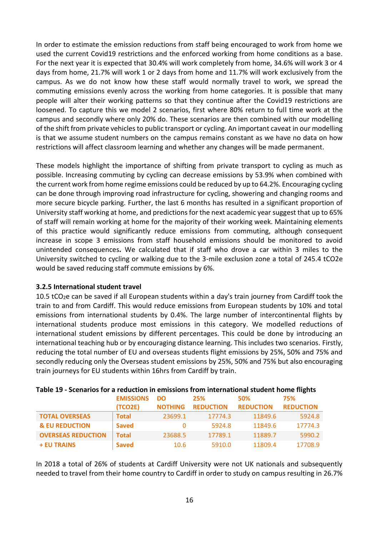In order to estimate the emission reductions from staff being encouraged to work from home we used the current Covid19 restrictions and the enforced working from home conditions as a base. For the next year it is expected that 30.4% will work completely from home, 34.6% will work 3 or 4 days from home, 21.7% will work 1 or 2 days from home and 11.7% will work exclusively from the campus. As we do not know how these staff would normally travel to work, we spread the commuting emissions evenly across the working from home categories. It is possible that many people will alter their working patterns so that they continue after the Covid19 restrictions are loosened. To capture this we model 2 scenarios, first where 80% return to full time work at the campus and secondly where only 20% do. These scenarios are then combined with our modelling of the shift from private vehicles to public transport or cycling. An important caveat in our modelling is that we assume student numbers on the campus remains constant as we have no data on how restrictions will affect classroom learning and whether any changes will be made permanent.

These models highlight the importance of shifting from private transport to cycling as much as possible. Increasing commuting by cycling can decrease emissions by 53.9% when combined with the current work from home regime emissions could be reduced by up to 64.2%. Encouraging cycling can be done through improving road infrastructure for cycling, showering and changing rooms and more secure bicycle parking. Further, the last 6 months has resulted in a significant proportion of University staff working at home, and predictions for the next academic year suggest that up to 65% of staff will remain working at home for the majority of their working week. Maintaining elements of this practice would significantly reduce emissions from commuting, although consequent increase in scope 3 emissions from staff household emissions should be monitored to avoid unintended consequences**.** We calculated that if staff who drove a car within 3 miles to the University switched to cycling or walking due to the 3-mile exclusion zone a total of 245.4 tCO2e would be saved reducing staff commute emissions by 6%.

# **3.2.5 International student travel**

10.5 tCO2e can be saved if all European students within a day's train journey from Cardiff took the train to and from Cardiff. This would reduce emissions from European students by 10% and total emissions from international students by 0.4%. The large number of intercontinental flights by international students produce most emissions in this category. We modelled reductions of international student emissions by different percentages. This could be done by introducing an international teaching hub or by encouraging distance learning. This includes two scenarios. Firstly, reducing the total number of EU and overseas students flight emissions by 25%, 50% and 75% and secondly reducing only the Overseas student emissions by 25%, 50% and 75% but also encouraging train journeys for EU students within 16hrs from Cardiff by train.

|                           | <b>EMISSIONS</b> | <b>DO</b>      | 25%              | 50%              | 75%              |
|---------------------------|------------------|----------------|------------------|------------------|------------------|
|                           | (TCO2E)          | <b>NOTHING</b> | <b>REDUCTION</b> | <b>REDUCTION</b> | <b>REDUCTION</b> |
| <b>TOTAL OVERSEAS</b>     | Total            | 23699.1        | 17774.3          | 11849.6          | 5924.8           |
| <b>&amp; EU REDUCTION</b> | <b>Saved</b>     |                | 5924.8           | 11849.6          | 17774.3          |
| <b>OVERSEAS REDUCTION</b> | <b>Total</b>     | 23688.5        | 17789.1          | 11889.7          | 5990.2           |
| <b>+ EU TRAINS</b>        | <b>Saved</b>     | 10.6           | 5910.0           | 11809.4          | 17708.9          |

# **Table 19 - Scenarios for a reduction in emissions from international student home flights**

In 2018 a total of 26% of students at Cardiff University were not UK nationals and subsequently needed to travel from their home country to Cardiff in order to study on campus resulting in 26.7%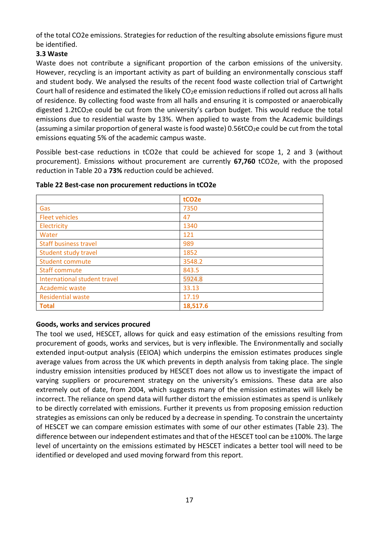of the total CO2e emissions. Strategies for reduction of the resulting absolute emissions figure must be identified.

# **3.3 Waste**

Waste does not contribute a significant proportion of the carbon emissions of the university. However, recycling is an important activity as part of building an environmentally conscious staff and student body. We analysed the results of the recent food waste collection trial of Cartwright Court hall of residence and estimated the likely  $CO<sub>2</sub>e$  emission reductions if rolled out across all halls of residence. By collecting food waste from all halls and ensuring it is composted or anaerobically digested 1.2tCO<sub>2</sub>e could be cut from the university's carbon budget. This would reduce the total emissions due to residential waste by 13%. When applied to waste from the Academic buildings (assuming a similar proportion of general waste is food waste)  $0.56$ t $CO<sub>2</sub>$ e could be cut from the total emissions equating 5% of the academic campus waste.

Possible best-case reductions in tCO2e that could be achieved for scope 1, 2 and 3 (without procurement). Emissions without procurement are currently **67,760** tCO2e, with the proposed reduction in Table 20 a **73%** reduction could be achieved.

|                              | tCO <sub>2e</sub> |
|------------------------------|-------------------|
| Gas                          | 7350              |
| <b>Fleet vehicles</b>        | 47                |
| Electricity                  | 1340              |
| Water                        | 121               |
| <b>Staff business travel</b> | 989               |
| Student study travel         | 1852              |
| <b>Student commute</b>       | 3548.2            |
| <b>Staff commute</b>         | 843.5             |
| International student travel | 5924.8            |
| Academic waste               | 33.13             |
| <b>Residential waste</b>     | 17.19             |
| <b>Total</b>                 | 18,517.6          |

### **Table 22 Best-case non procurement reductions in tCO2e**

# **Goods, works and services procured**

The tool we used, HESCET, allows for quick and easy estimation of the emissions resulting from procurement of goods, works and services, but is very inflexible. The Environmentally and socially extended input-output analysis (EEIOA) which underpins the emission estimates produces single average values from across the UK which prevents in depth analysis from taking place. The single industry emission intensities produced by HESCET does not allow us to investigate the impact of varying suppliers or procurement strategy on the university's emissions. These data are also extremely out of date, from 2004, which suggests many of the emission estimates will likely be incorrect. The reliance on spend data will further distort the emission estimates as spend is unlikely to be directly correlated with emissions. Further it prevents us from proposing emission reduction strategies as emissions can only be reduced by a decrease in spending. To constrain the uncertainty of HESCET we can compare emission estimates with some of our other estimates (Table 23). The difference between our independent estimates and that of the HESCET tool can be ±100%. The large level of uncertainty on the emissions estimated by HESCET indicates a better tool will need to be identified or developed and used moving forward from this report.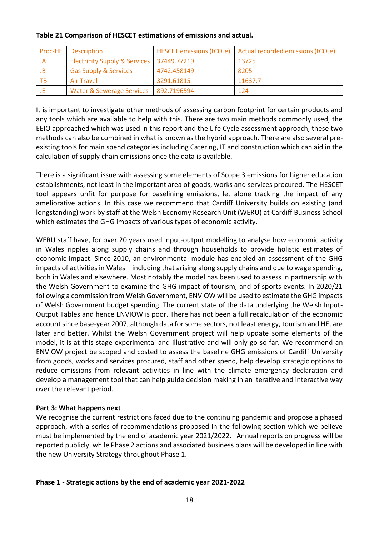| Proc-HE | <b>Description</b>                          | HESCET emissions (tCO <sub>2</sub> e) | Actual recorded emissions ( $tCO2e$ ) |
|---------|---------------------------------------------|---------------------------------------|---------------------------------------|
| -JA     | Electricity Supply & Services   37449.77219 |                                       | 13725                                 |
| JB      | <b>Gas Supply &amp; Services</b>            | 4742.458149                           | 8205                                  |
| TB      | <b>Air Travel</b>                           | 3291.61815                            | 11637.7                               |
| - JE    | <b>Water &amp; Sewerage Services</b>        | 892.7196594                           | 124                                   |

### **Table 21 Comparison of HESCET estimations of emissions and actual.**

It is important to investigate other methods of assessing carbon footprint for certain products and any tools which are available to help with this. There are two main methods commonly used, the EEIO approached which was used in this report and the Life Cycle assessment approach, these two methods can also be combined in what is known as the hybrid approach. There are also several preexisting tools for main spend categories including Catering, IT and construction which can aid in the calculation of supply chain emissions once the data is available.

There is a significant issue with assessing some elements of Scope 3 emissions for higher education establishments, not least in the important area of goods, works and services procured. The HESCET tool appears unfit for purpose for baselining emissions, let alone tracking the impact of any ameliorative actions. In this case we recommend that Cardiff University builds on existing (and longstanding) work by staff at the Welsh Economy Research Unit (WERU) at Cardiff Business School which estimates the GHG impacts of various types of economic activity.

WERU staff have, for over 20 years used input-output modelling to analyse how economic activity in Wales ripples along supply chains and through households to provide holistic estimates of economic impact. Since 2010, an environmental module has enabled an assessment of the GHG impacts of activities in Wales – including that arising along supply chains and due to wage spending, both in Wales and elsewhere. Most notably the model has been used to assess in partnership with the Welsh Government to examine the GHG impact of tourism, and of sports events. In 2020/21 following a commission from Welsh Government, ENVIOW will be used to estimate the GHG impacts of Welsh Government budget spending. The current state of the data underlying the Welsh Input-Output Tables and hence ENVIOW is poor. There has not been a full recalculation of the economic account since base-year 2007, although data for some sectors, not least energy, tourism and HE, are later and better. Whilst the Welsh Government project will help update some elements of the model, it is at this stage experimental and illustrative and will only go so far. We recommend an ENVIOW project be scoped and costed to assess the baseline GHG emissions of Cardiff University from goods, works and services procured, staff and other spend, help develop strategic options to reduce emissions from relevant activities in line with the climate emergency declaration and develop a management tool that can help guide decision making in an iterative and interactive way over the relevant period.

# **Part 3: What happens next**

We recognise the current restrictions faced due to the continuing pandemic and propose a phased approach, with a series of recommendations proposed in the following section which we believe must be implemented by the end of academic year 2021/2022. Annual reports on progress will be reported publicly, while Phase 2 actions and associated business plans will be developed in line with the new University Strategy throughout Phase 1.

# **Phase 1 - Strategic actions by the end of academic year 2021-2022**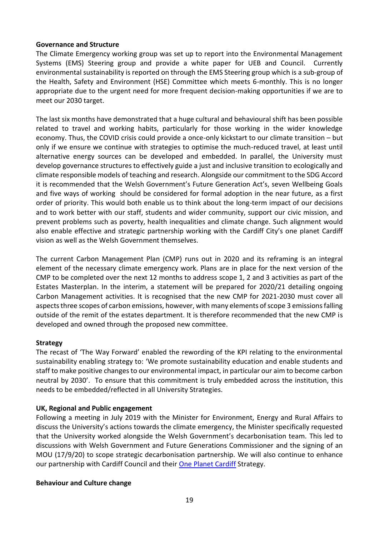### **Governance and Structure**

The Climate Emergency working group was set up to report into the Environmental Management Systems (EMS) Steering group and provide a white paper for UEB and Council. Currently environmental sustainability is reported on through the EMS Steering group which is a sub-group of the Health, Safety and Environment (HSE) Committee which meets 6-monthly. This is no longer appropriate due to the urgent need for more frequent decision-making opportunities if we are to meet our 2030 target.

The last six months have demonstrated that a huge cultural and behavioural shift has been possible related to travel and working habits, particularly for those working in the wider knowledge economy. Thus, the COVID crisis could provide a once-only kickstart to our climate transition – but only if we ensure we continue with strategies to optimise the much-reduced travel, at least until alternative energy sources can be developed and embedded. In parallel, the University must develop governance structures to effectively guide a just and inclusive transition to ecologically and climate responsible models of teaching and research. Alongside our commitment to the SDG Accord it is recommended that the Welsh Government's Future Generation Act's, seven Wellbeing Goals and five ways of working should be considered for formal adoption in the near future, as a first order of priority. This would both enable us to think about the long-term impact of our decisions and to work better with our staff, students and wider community, support our civic mission, and prevent problems such as poverty, health inequalities and climate change. Such alignment would also enable effective and strategic partnership working with the Cardiff City's one planet Cardiff vision as well as the Welsh Government themselves.

The current Carbon Management Plan (CMP) runs out in 2020 and its reframing is an integral element of the necessary climate emergency work. Plans are in place for the next version of the CMP to be completed over the next 12 months to address scope 1, 2 and 3 activities as part of the Estates Masterplan. In the interim, a statement will be prepared for 2020/21 detailing ongoing Carbon Management activities. It is recognised that the new CMP for 2021-2030 must cover all aspects three scopes of carbon emissions, however, with many elements of scope 3 emissions falling outside of the remit of the estates department. It is therefore recommended that the new CMP is developed and owned through the proposed new committee.

### **Strategy**

The recast of 'The Way Forward' enabled the rewording of the KPI relating to the environmental sustainability enabling strategy to: 'We promote sustainability education and enable students and staff to make positive changes to our environmental impact, in particular our aim to become carbon neutral by 2030'. To ensure that this commitment is truly embedded across the institution, this needs to be embedded/reflected in all University Strategies.

# **UK, Regional and Public engagement**

Following a meeting in July 2019 with the Minister for Environment, Energy and Rural Affairs to discuss the University's actions towards the climate emergency, the Minister specifically requested that the University worked alongside the Welsh Government's decarbonisation team. This led to discussions with Welsh Government and Future Generations Commissioner and the signing of an MOU (17/9/20) to scope strategic decarbonisation partnership. We will also continue to enhance our partnership with Cardiff Council and their [One Planet Cardiff](https://www.oneplanetcardiff.co.uk/wp-content/uploads/OPC%20vision%20document%202020%20ENGLISH.pdf) Strategy.

### **Behaviour and Culture change**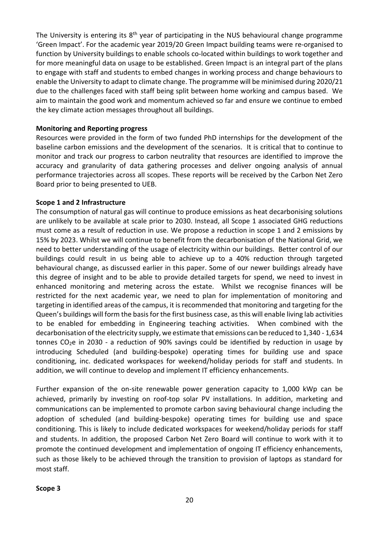The University is entering its 8<sup>th</sup> year of participating in the NUS behavioural change programme 'Green Impact'. For the academic year 2019/20 Green Impact building teams were re-organised to function by University buildings to enable schools co-located within buildings to work together and for more meaningful data on usage to be established. Green Impact is an integral part of the plans to engage with staff and students to embed changes in working process and change behaviours to enable the University to adapt to climate change. The programme will be minimised during 2020/21 due to the challenges faced with staff being split between home working and campus based. We aim to maintain the good work and momentum achieved so far and ensure we continue to embed the key climate action messages throughout all buildings.

### **Monitoring and Reporting progress**

Resources were provided in the form of two funded PhD internships for the development of the baseline carbon emissions and the development of the scenarios. It is critical that to continue to monitor and track our progress to carbon neutrality that resources are identified to improve the accuracy and granularity of data gathering processes and deliver ongoing analysis of annual performance trajectories across all scopes. These reports will be received by the Carbon Net Zero Board prior to being presented to UEB.

#### **Scope 1 and 2 Infrastructure**

The consumption of natural gas will continue to produce emissions as heat decarbonising solutions are unlikely to be available at scale prior to 2030. Instead, all Scope 1 associated GHG reductions must come as a result of reduction in use. We propose a reduction in scope 1 and 2 emissions by 15% by 2023. Whilst we will continue to benefit from the decarbonisation of the National Grid, we need to better understanding of the usage of electricity within our buildings. Better control of our buildings could result in us being able to achieve up to a 40% reduction through targeted behavioural change, as discussed earlier in this paper. Some of our newer buildings already have this degree of insight and to be able to provide detailed targets for spend, we need to invest in enhanced monitoring and metering across the estate. Whilst we recognise finances will be restricted for the next academic year, we need to plan for implementation of monitoring and targeting in identified areas of the campus, it is recommended that monitoring and targeting for the Queen's buildings will form the basis for the first business case, as this will enable living lab activities to be enabled for embedding in Engineering teaching activities. When combined with the decarbonisation of the electricity supply, we estimate that emissions can be reduced to 1,340 - 1,634 tonnes CO2e in 2030 - a reduction of 90% savings could be identified by reduction in usage by introducing Scheduled (and building-bespoke) operating times for building use and space conditioning, inc. dedicated workspaces for weekend/holiday periods for staff and students. In addition, we will continue to develop and implement IT efficiency enhancements.

Further expansion of the on-site renewable power generation capacity to 1,000 kWp can be achieved, primarily by investing on roof-top solar PV installations. In addition, marketing and communications can be implemented to promote carbon saving behavioural change including the adoption of scheduled (and building-bespoke) operating times for building use and space conditioning. This is likely to include dedicated workspaces for weekend/holiday periods for staff and students. In addition, the proposed Carbon Net Zero Board will continue to work with it to promote the continued development and implementation of ongoing IT efficiency enhancements, such as those likely to be achieved through the transition to provision of laptops as standard for most staff.

#### **Scope 3**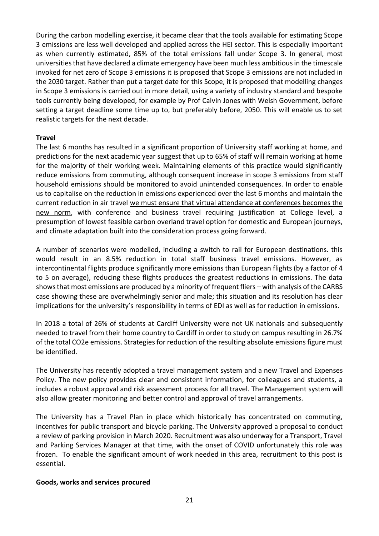During the carbon modelling exercise, it became clear that the tools available for estimating Scope 3 emissions are less well developed and applied across the HEI sector. This is especially important as when currently estimated, 85% of the total emissions fall under Scope 3. In general, most universities that have declared a climate emergency have been much less ambitious in the timescale invoked for net zero of Scope 3 emissions it is proposed that Scope 3 emissions are not included in the 2030 target. Rather than put a target date for this Scope, it is proposed that modelling changes in Scope 3 emissions is carried out in more detail, using a variety of industry standard and bespoke tools currently being developed, for example by Prof Calvin Jones with Welsh Government, before setting a target deadline some time up to, but preferably before, 2050. This will enable us to set realistic targets for the next decade.

### **Travel**

The last 6 months has resulted in a significant proportion of University staff working at home, and predictions for the next academic year suggest that up to 65% of staff will remain working at home for the majority of their working week. Maintaining elements of this practice would significantly reduce emissions from commuting, although consequent increase in scope 3 emissions from staff household emissions should be monitored to avoid unintended consequences. In order to enable us to capitalise on the reduction in emissions experienced over the last 6 months and maintain the current reduction in air travel we must ensure that virtual attendance at conferences becomes the new norm, with conference and business travel requiring justification at College level, a presumption of lowest feasible carbon overland travel option for domestic and European journeys, and climate adaptation built into the consideration process going forward.

A number of scenarios were modelled, including a switch to rail for European destinations. this would result in an 8.5% reduction in total staff business travel emissions. However, as intercontinental flights produce significantly more emissions than European flights (by a factor of 4 to 5 on average), reducing these flights produces the greatest reductions in emissions. The data shows that most emissions are produced by a minority of frequent fliers – with analysis of the CARBS case showing these are overwhelmingly senior and male; this situation and its resolution has clear implications for the university's responsibility in terms of EDI as well as for reduction in emissions.

In 2018 a total of 26% of students at Cardiff University were not UK nationals and subsequently needed to travel from their home country to Cardiff in order to study on campus resulting in 26.7% of the total CO2e emissions. Strategies for reduction of the resulting absolute emissions figure must be identified.

The University has recently adopted a travel management system and a new Travel and Expenses Policy. The new policy provides clear and consistent information, for colleagues and students, a includes a robust approval and risk assessment process for all travel. The Management system will also allow greater monitoring and better control and approval of travel arrangements.

The University has a Travel Plan in place which historically has concentrated on commuting, incentives for public transport and bicycle parking. The University approved a proposal to conduct a review of parking provision in March 2020. Recruitment was also underway for a Transport, Travel and Parking Services Manager at that time, with the onset of COVID unfortunately this role was frozen. To enable the significant amount of work needed in this area, recruitment to this post is essential.

### **Goods, works and services procured**